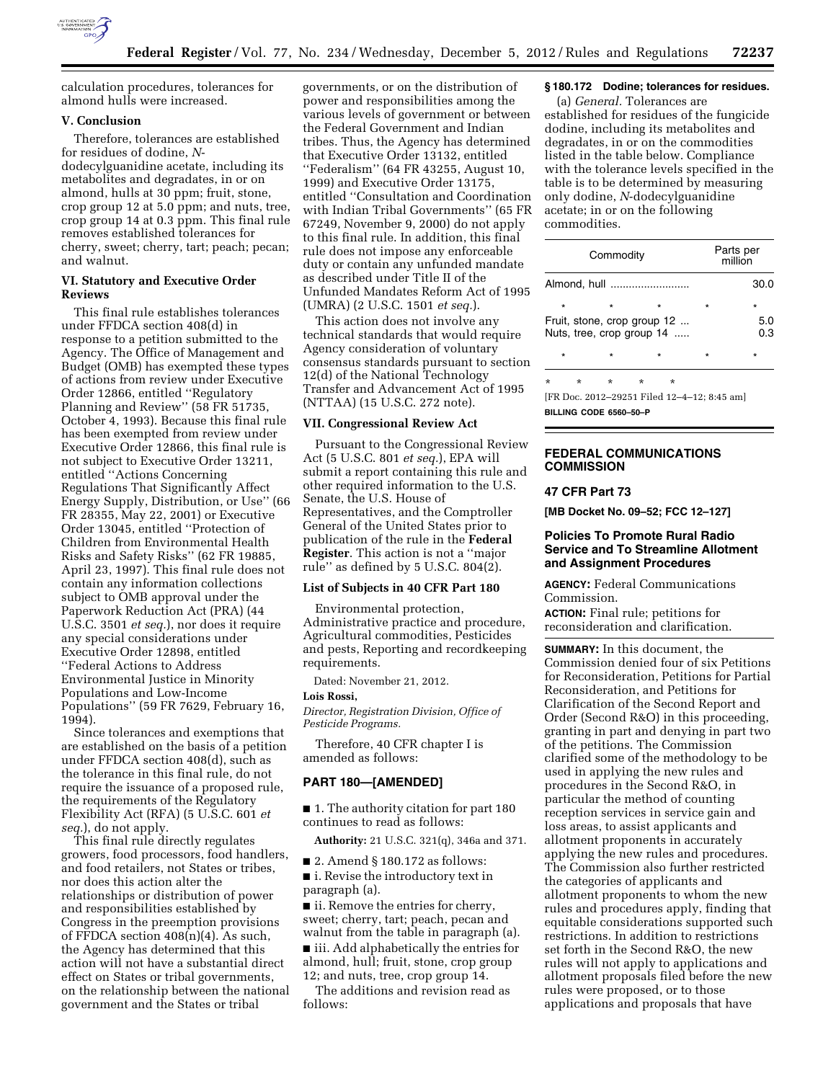

calculation procedures, tolerances for almond hulls were increased.

#### **V. Conclusion**

Therefore, tolerances are established for residues of dodine, *N*dodecylguanidine acetate, including its metabolites and degradates, in or on almond, hulls at 30 ppm; fruit, stone, crop group 12 at 5.0 ppm; and nuts, tree, crop group 14 at 0.3 ppm. This final rule removes established tolerances for cherry, sweet; cherry, tart; peach; pecan; and walnut.

# **VI. Statutory and Executive Order Reviews**

This final rule establishes tolerances under FFDCA section 408(d) in response to a petition submitted to the Agency. The Office of Management and Budget (OMB) has exempted these types of actions from review under Executive Order 12866, entitled ''Regulatory Planning and Review'' (58 FR 51735, October 4, 1993). Because this final rule has been exempted from review under Executive Order 12866, this final rule is not subject to Executive Order 13211, entitled ''Actions Concerning Regulations That Significantly Affect Energy Supply, Distribution, or Use'' (66 FR 28355, May 22, 2001) or Executive Order 13045, entitled ''Protection of Children from Environmental Health Risks and Safety Risks'' (62 FR 19885, April 23, 1997). This final rule does not contain any information collections subject to OMB approval under the Paperwork Reduction Act (PRA) (44 U.S.C. 3501 *et seq.*), nor does it require any special considerations under Executive Order 12898, entitled ''Federal Actions to Address Environmental Justice in Minority Populations and Low-Income Populations'' (59 FR 7629, February 16, 1994).

Since tolerances and exemptions that are established on the basis of a petition under FFDCA section 408(d), such as the tolerance in this final rule, do not require the issuance of a proposed rule, the requirements of the Regulatory Flexibility Act (RFA) (5 U.S.C. 601 *et seq.*), do not apply.

This final rule directly regulates growers, food processors, food handlers, and food retailers, not States or tribes, nor does this action alter the relationships or distribution of power and responsibilities established by Congress in the preemption provisions of FFDCA section 408(n)(4). As such, the Agency has determined that this action will not have a substantial direct effect on States or tribal governments, on the relationship between the national government and the States or tribal

governments, or on the distribution of power and responsibilities among the various levels of government or between the Federal Government and Indian tribes. Thus, the Agency has determined that Executive Order 13132, entitled ''Federalism'' (64 FR 43255, August 10, 1999) and Executive Order 13175, entitled ''Consultation and Coordination with Indian Tribal Governments'' (65 FR 67249, November 9, 2000) do not apply to this final rule. In addition, this final rule does not impose any enforceable duty or contain any unfunded mandate as described under Title II of the Unfunded Mandates Reform Act of 1995 (UMRA) (2 U.S.C. 1501 *et seq.*).

This action does not involve any technical standards that would require Agency consideration of voluntary consensus standards pursuant to section 12(d) of the National Technology Transfer and Advancement Act of 1995 (NTTAA) (15 U.S.C. 272 note).

#### **VII. Congressional Review Act**

Pursuant to the Congressional Review Act (5 U.S.C. 801 *et seq.*), EPA will submit a report containing this rule and other required information to the U.S. Senate, the U.S. House of Representatives, and the Comptroller General of the United States prior to publication of the rule in the **Federal Register**. This action is not a ''major rule'' as defined by 5 U.S.C. 804(2).

# **List of Subjects in 40 CFR Part 180**

Environmental protection, Administrative practice and procedure, Agricultural commodities, Pesticides and pests, Reporting and recordkeeping requirements.

Dated: November 21, 2012.

#### **Lois Rossi,**

*Director, Registration Division, Office of Pesticide Programs.* 

Therefore, 40 CFR chapter I is amended as follows:

#### **PART 180—[AMENDED]**

■ 1. The authority citation for part 180 continues to read as follows:

**Authority:** 21 U.S.C. 321(q), 346a and 371.

■ 2. Amend § 180.172 as follows: ■ i. Revise the introductory text in paragraph (a).

■ ii. Remove the entries for cherry, sweet; cherry, tart; peach, pecan and walnut from the table in paragraph (a). ■ iii. Add alphabetically the entries for almond, hull; fruit, stone, crop group 12; and nuts, tree, crop group 14.

The additions and revision read as follows:

# **§ 180.172 Dodine; tolerances for residues.**

(a) *General.* Tolerances are established for residues of the fungicide dodine, including its metabolites and degradates, in or on the commodities listed in the table below. Compliance with the tolerance levels specified in the table is to be determined by measuring only dodine, *N*-dodecylguanidine acetate; in or on the following commodities.

| Commodity                                                |         |         |         |         |         | Parts per<br>million |            |  |
|----------------------------------------------------------|---------|---------|---------|---------|---------|----------------------|------------|--|
| Almond, hull                                             |         |         |         |         |         |                      | 30.0       |  |
| $\star$                                                  |         |         |         | $\star$ | $\star$ |                      | $\star$    |  |
| Fruit, stone, crop group 12<br>Nuts, tree, crop group 14 |         |         |         |         |         |                      | 5.0<br>0.3 |  |
| $\star$                                                  |         |         |         | $\star$ | $\star$ |                      | $\star$    |  |
| $\star$                                                  | $\star$ | $\star$ | $\star$ | ÷       |         |                      |            |  |
| [FR Doc. 2012-29251 Filed 12-4-12: 8:45 am]              |         |         |         |         |         |                      |            |  |
| BU LINA AABE SESS ES                                     |         |         |         |         |         |                      |            |  |

ING CODE 6560

## **FEDERAL COMMUNICATIONS COMMISSION**

#### **47 CFR Part 73**

**[MB Docket No. 09–52; FCC 12–127]** 

## **Policies To Promote Rural Radio Service and To Streamline Allotment and Assignment Procedures**

**AGENCY:** Federal Communications Commission.

**ACTION:** Final rule; petitions for reconsideration and clarification.

**SUMMARY:** In this document, the Commission denied four of six Petitions for Reconsideration, Petitions for Partial Reconsideration, and Petitions for Clarification of the Second Report and Order (Second R&O) in this proceeding, granting in part and denying in part two of the petitions. The Commission clarified some of the methodology to be used in applying the new rules and procedures in the Second R&O, in particular the method of counting reception services in service gain and loss areas, to assist applicants and allotment proponents in accurately applying the new rules and procedures. The Commission also further restricted the categories of applicants and allotment proponents to whom the new rules and procedures apply, finding that equitable considerations supported such restrictions. In addition to restrictions set forth in the Second R&O, the new rules will not apply to applications and allotment proposals filed before the new rules were proposed, or to those applications and proposals that have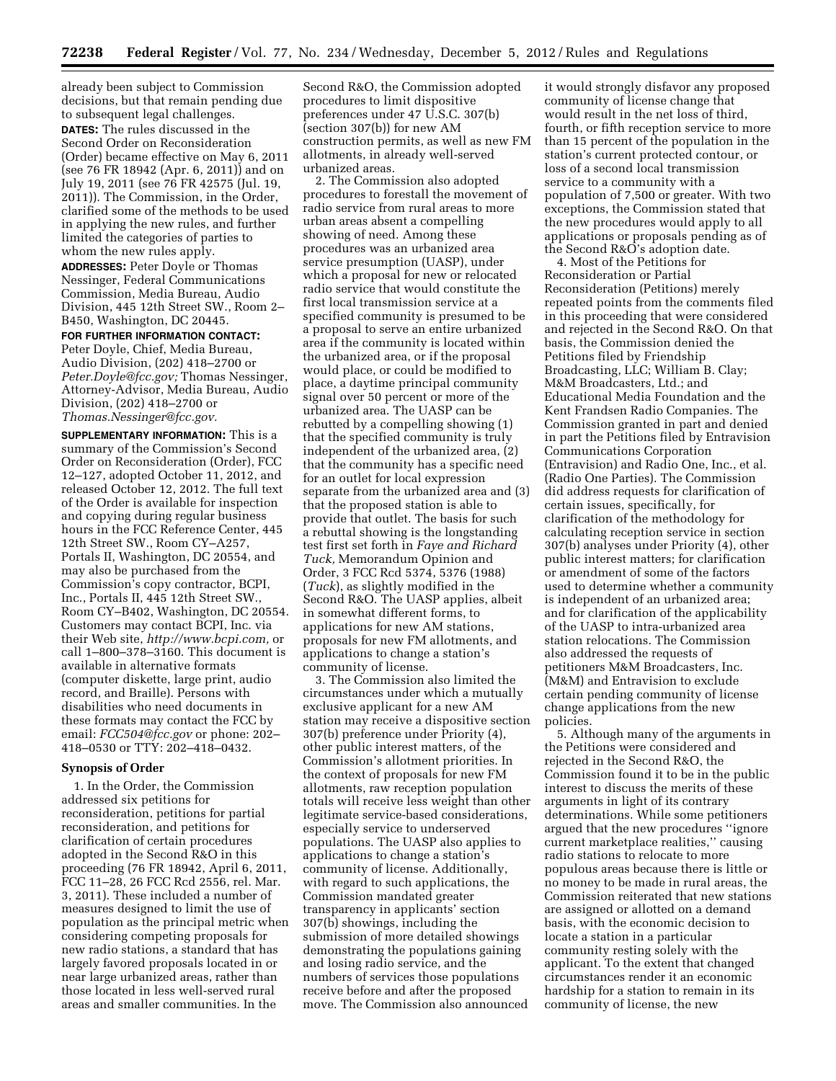already been subject to Commission decisions, but that remain pending due to subsequent legal challenges.

**DATES:** The rules discussed in the Second Order on Reconsideration (Order) became effective on May 6, 2011 (see 76 FR 18942 (Apr. 6, 2011)) and on July 19, 2011 (see 76 FR 42575 (Jul. 19, 2011)). The Commission, in the Order, clarified some of the methods to be used in applying the new rules, and further limited the categories of parties to whom the new rules apply.

**ADDRESSES:** Peter Doyle or Thomas Nessinger, Federal Communications Commission, Media Bureau, Audio Division, 445 12th Street SW., Room 2– B450, Washington, DC 20445.

**FOR FURTHER INFORMATION CONTACT:**  Peter Doyle, Chief, Media Bureau, Audio Division, (202) 418–2700 or *[Peter.Doyle@fcc.gov;](mailto:Peter.Doyle@fcc.gov)* Thomas Nessinger, Attorney-Advisor, Media Bureau, Audio Division, (202) 418–2700 or *[Thomas.Nessinger@fcc.gov.](mailto:Thomas.Nessinger@fcc.gov)* 

**SUPPLEMENTARY INFORMATION:** This is a summary of the Commission's Second Order on Reconsideration (Order), FCC 12–127, adopted October 11, 2012, and released October 12, 2012. The full text of the Order is available for inspection and copying during regular business hours in the FCC Reference Center, 445 12th Street SW., Room CY–A257, Portals II, Washington, DC 20554, and may also be purchased from the Commission's copy contractor, BCPI, Inc., Portals II, 445 12th Street SW., Room CY–B402, Washington, DC 20554. Customers may contact BCPI, Inc. via their Web site, *[http://www.bcpi.com,](http://www.bcpi.com)* or call 1–800–378–3160. This document is available in alternative formats (computer diskette, large print, audio record, and Braille). Persons with disabilities who need documents in these formats may contact the FCC by email: *[FCC504@fcc.gov](mailto:FCC504@fcc.gov)* or phone: 202– 418–0530 or TTY: 202–418–0432.

### **Synopsis of Order**

1. In the Order, the Commission addressed six petitions for reconsideration, petitions for partial reconsideration, and petitions for clarification of certain procedures adopted in the Second R&O in this proceeding (76 FR 18942, April 6, 2011, FCC 11–28, 26 FCC Rcd 2556, rel. Mar. 3, 2011). These included a number of measures designed to limit the use of population as the principal metric when considering competing proposals for new radio stations, a standard that has largely favored proposals located in or near large urbanized areas, rather than those located in less well-served rural areas and smaller communities. In the

Second R&O, the Commission adopted procedures to limit dispositive preferences under 47 U.S.C. 307(b) (section 307(b)) for new AM construction permits, as well as new FM allotments, in already well-served urbanized areas.

2. The Commission also adopted procedures to forestall the movement of radio service from rural areas to more urban areas absent a compelling showing of need. Among these procedures was an urbanized area service presumption (UASP), under which a proposal for new or relocated radio service that would constitute the first local transmission service at a specified community is presumed to be a proposal to serve an entire urbanized area if the community is located within the urbanized area, or if the proposal would place, or could be modified to place, a daytime principal community signal over 50 percent or more of the urbanized area. The UASP can be rebutted by a compelling showing (1) that the specified community is truly independent of the urbanized area, (2) that the community has a specific need for an outlet for local expression separate from the urbanized area and (3) that the proposed station is able to provide that outlet. The basis for such a rebuttal showing is the longstanding test first set forth in *Faye and Richard Tuck,* Memorandum Opinion and Order, 3 FCC Rcd 5374, 5376 (1988) (*Tuck*), as slightly modified in the Second R&O. The UASP applies, albeit in somewhat different forms, to applications for new AM stations, proposals for new FM allotments, and applications to change a station's community of license.

3. The Commission also limited the circumstances under which a mutually exclusive applicant for a new AM station may receive a dispositive section 307(b) preference under Priority (4), other public interest matters, of the Commission's allotment priorities. In the context of proposals for new FM allotments, raw reception population totals will receive less weight than other legitimate service-based considerations, especially service to underserved populations. The UASP also applies to applications to change a station's community of license. Additionally, with regard to such applications, the Commission mandated greater transparency in applicants' section 307(b) showings, including the submission of more detailed showings demonstrating the populations gaining and losing radio service, and the numbers of services those populations receive before and after the proposed move. The Commission also announced

it would strongly disfavor any proposed community of license change that would result in the net loss of third, fourth, or fifth reception service to more than 15 percent of the population in the station's current protected contour, or loss of a second local transmission service to a community with a population of 7,500 or greater. With two exceptions, the Commission stated that the new procedures would apply to all applications or proposals pending as of the Second R&O's adoption date.

4. Most of the Petitions for Reconsideration or Partial Reconsideration (Petitions) merely repeated points from the comments filed in this proceeding that were considered and rejected in the Second R&O. On that basis, the Commission denied the Petitions filed by Friendship Broadcasting, LLC; William B. Clay; M&M Broadcasters, Ltd.; and Educational Media Foundation and the Kent Frandsen Radio Companies. The Commission granted in part and denied in part the Petitions filed by Entravision Communications Corporation (Entravision) and Radio One, Inc., et al. (Radio One Parties). The Commission did address requests for clarification of certain issues, specifically, for clarification of the methodology for calculating reception service in section 307(b) analyses under Priority (4), other public interest matters; for clarification or amendment of some of the factors used to determine whether a community is independent of an urbanized area; and for clarification of the applicability of the UASP to intra-urbanized area station relocations. The Commission also addressed the requests of petitioners M&M Broadcasters, Inc. (M&M) and Entravision to exclude certain pending community of license change applications from the new policies.

5. Although many of the arguments in the Petitions were considered and rejected in the Second R&O, the Commission found it to be in the public interest to discuss the merits of these arguments in light of its contrary determinations. While some petitioners argued that the new procedures ''ignore current marketplace realities,'' causing radio stations to relocate to more populous areas because there is little or no money to be made in rural areas, the Commission reiterated that new stations are assigned or allotted on a demand basis, with the economic decision to locate a station in a particular community resting solely with the applicant. To the extent that changed circumstances render it an economic hardship for a station to remain in its community of license, the new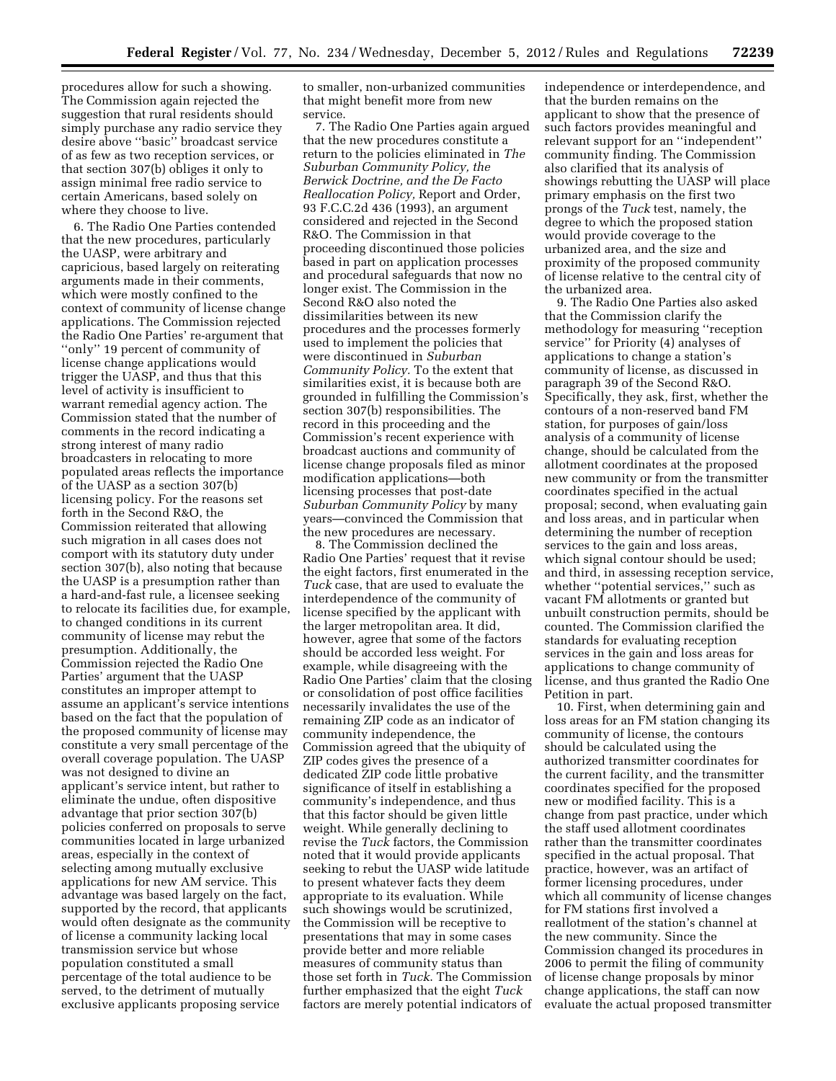procedures allow for such a showing. The Commission again rejected the suggestion that rural residents should simply purchase any radio service they desire above ''basic'' broadcast service of as few as two reception services, or that section 307(b) obliges it only to assign minimal free radio service to certain Americans, based solely on where they choose to live.

6. The Radio One Parties contended that the new procedures, particularly the UASP, were arbitrary and capricious, based largely on reiterating arguments made in their comments, which were mostly confined to the context of community of license change applications. The Commission rejected the Radio One Parties' re-argument that ''only'' 19 percent of community of license change applications would trigger the UASP, and thus that this level of activity is insufficient to warrant remedial agency action. The Commission stated that the number of comments in the record indicating a strong interest of many radio broadcasters in relocating to more populated areas reflects the importance of the UASP as a section 307(b) licensing policy. For the reasons set forth in the Second R&O, the Commission reiterated that allowing such migration in all cases does not comport with its statutory duty under section 307(b), also noting that because the UASP is a presumption rather than a hard-and-fast rule, a licensee seeking to relocate its facilities due, for example, to changed conditions in its current community of license may rebut the presumption. Additionally, the Commission rejected the Radio One Parties' argument that the UASP constitutes an improper attempt to assume an applicant's service intentions based on the fact that the population of the proposed community of license may constitute a very small percentage of the overall coverage population. The UASP was not designed to divine an applicant's service intent, but rather to eliminate the undue, often dispositive advantage that prior section 307(b) policies conferred on proposals to serve communities located in large urbanized areas, especially in the context of selecting among mutually exclusive applications for new AM service. This advantage was based largely on the fact, supported by the record, that applicants would often designate as the community of license a community lacking local transmission service but whose population constituted a small percentage of the total audience to be served, to the detriment of mutually exclusive applicants proposing service

to smaller, non-urbanized communities that might benefit more from new service.

7. The Radio One Parties again argued that the new procedures constitute a return to the policies eliminated in *The Suburban Community Policy, the Berwick Doctrine, and the De Facto Reallocation Policy,* Report and Order, 93 F.C.C.2d 436 (1993), an argument considered and rejected in the Second R&O. The Commission in that proceeding discontinued those policies based in part on application processes and procedural safeguards that now no longer exist. The Commission in the Second R&O also noted the dissimilarities between its new procedures and the processes formerly used to implement the policies that were discontinued in *Suburban Community Policy.* To the extent that similarities exist, it is because both are grounded in fulfilling the Commission's section 307(b) responsibilities. The record in this proceeding and the Commission's recent experience with broadcast auctions and community of license change proposals filed as minor modification applications—both licensing processes that post-date *Suburban Community Policy* by many years—convinced the Commission that the new procedures are necessary.

8. The Commission declined the Radio One Parties' request that it revise the eight factors, first enumerated in the *Tuck* case, that are used to evaluate the interdependence of the community of license specified by the applicant with the larger metropolitan area. It did, however, agree that some of the factors should be accorded less weight. For example, while disagreeing with the Radio One Parties' claim that the closing or consolidation of post office facilities necessarily invalidates the use of the remaining ZIP code as an indicator of community independence, the Commission agreed that the ubiquity of ZIP codes gives the presence of a dedicated ZIP code little probative significance of itself in establishing a community's independence, and thus that this factor should be given little weight. While generally declining to revise the *Tuck* factors, the Commission noted that it would provide applicants seeking to rebut the UASP wide latitude to present whatever facts they deem appropriate to its evaluation. While such showings would be scrutinized, the Commission will be receptive to presentations that may in some cases provide better and more reliable measures of community status than those set forth in *Tuck*. The Commission further emphasized that the eight *Tuck*  factors are merely potential indicators of

independence or interdependence, and that the burden remains on the applicant to show that the presence of such factors provides meaningful and relevant support for an ''independent'' community finding. The Commission also clarified that its analysis of showings rebutting the UASP will place primary emphasis on the first two prongs of the *Tuck* test, namely, the degree to which the proposed station would provide coverage to the urbanized area, and the size and proximity of the proposed community of license relative to the central city of the urbanized area.

9. The Radio One Parties also asked that the Commission clarify the methodology for measuring ''reception service'' for Priority (4) analyses of applications to change a station's community of license, as discussed in paragraph 39 of the Second R&O. Specifically, they ask, first, whether the contours of a non-reserved band FM station, for purposes of gain/loss analysis of a community of license change, should be calculated from the allotment coordinates at the proposed new community or from the transmitter coordinates specified in the actual proposal; second, when evaluating gain and loss areas, and in particular when determining the number of reception services to the gain and loss areas, which signal contour should be used; and third, in assessing reception service, whether ''potential services,'' such as vacant FM allotments or granted but unbuilt construction permits, should be counted. The Commission clarified the standards for evaluating reception services in the gain and loss areas for applications to change community of license, and thus granted the Radio One Petition in part.

10. First, when determining gain and loss areas for an FM station changing its community of license, the contours should be calculated using the authorized transmitter coordinates for the current facility, and the transmitter coordinates specified for the proposed new or modified facility. This is a change from past practice, under which the staff used allotment coordinates rather than the transmitter coordinates specified in the actual proposal. That practice, however, was an artifact of former licensing procedures, under which all community of license changes for FM stations first involved a reallotment of the station's channel at the new community. Since the Commission changed its procedures in 2006 to permit the filing of community of license change proposals by minor change applications, the staff can now evaluate the actual proposed transmitter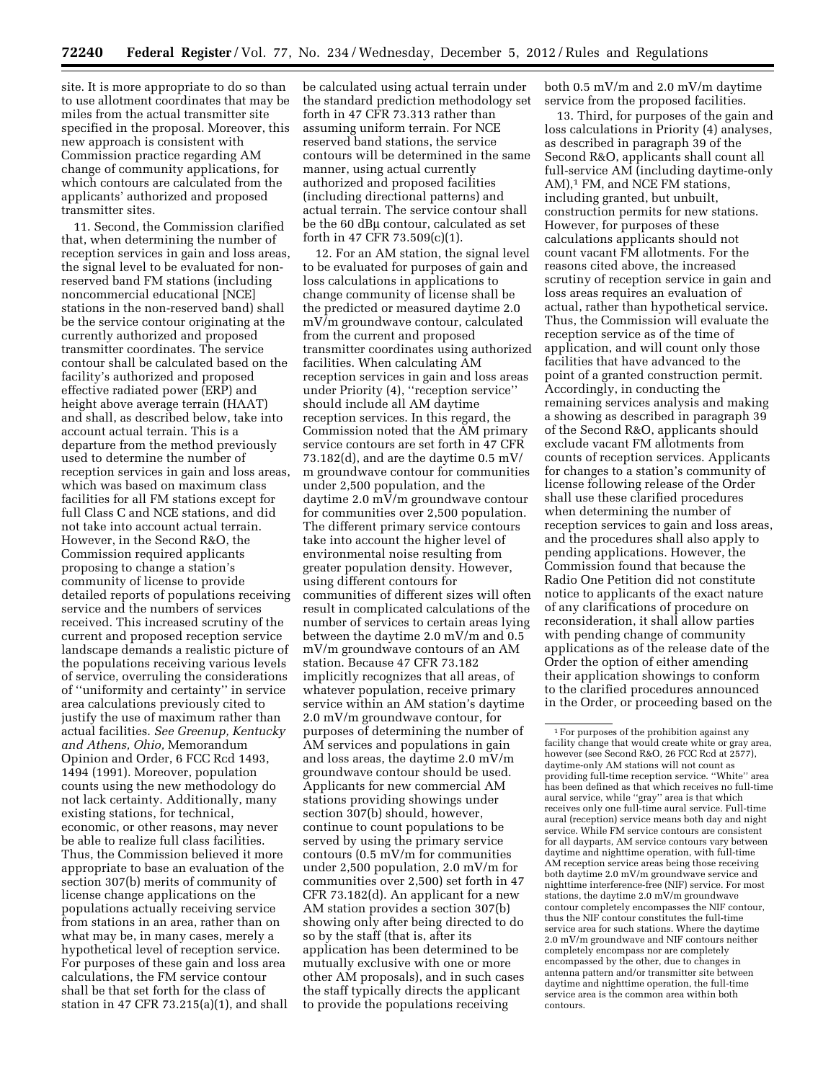site. It is more appropriate to do so than to use allotment coordinates that may be miles from the actual transmitter site specified in the proposal. Moreover, this new approach is consistent with Commission practice regarding AM change of community applications, for which contours are calculated from the applicants' authorized and proposed transmitter sites.

11. Second, the Commission clarified that, when determining the number of reception services in gain and loss areas, the signal level to be evaluated for nonreserved band FM stations (including noncommercial educational [NCE] stations in the non-reserved band) shall be the service contour originating at the currently authorized and proposed transmitter coordinates. The service contour shall be calculated based on the facility's authorized and proposed effective radiated power (ERP) and height above average terrain (HAAT) and shall, as described below, take into account actual terrain. This is a departure from the method previously used to determine the number of reception services in gain and loss areas, which was based on maximum class facilities for all FM stations except for full Class C and NCE stations, and did not take into account actual terrain. However, in the Second R&O, the Commission required applicants proposing to change a station's community of license to provide detailed reports of populations receiving service and the numbers of services received. This increased scrutiny of the current and proposed reception service landscape demands a realistic picture of the populations receiving various levels of service, overruling the considerations of ''uniformity and certainty'' in service area calculations previously cited to justify the use of maximum rather than actual facilities. *See Greenup, Kentucky and Athens, Ohio,* Memorandum Opinion and Order, 6 FCC Rcd 1493, 1494 (1991). Moreover, population counts using the new methodology do not lack certainty. Additionally, many existing stations, for technical, economic, or other reasons, may never be able to realize full class facilities. Thus, the Commission believed it more appropriate to base an evaluation of the section 307(b) merits of community of license change applications on the populations actually receiving service from stations in an area, rather than on what may be, in many cases, merely a hypothetical level of reception service. For purposes of these gain and loss area calculations, the FM service contour shall be that set forth for the class of station in 47 CFR 73.215(a)(1), and shall

be calculated using actual terrain under the standard prediction methodology set forth in 47 CFR 73.313 rather than assuming uniform terrain. For NCE reserved band stations, the service contours will be determined in the same manner, using actual currently authorized and proposed facilities (including directional patterns) and actual terrain. The service contour shall be the 60 dBµ contour, calculated as set forth in 47 CFR 73.509(c)(1).

12. For an AM station, the signal level to be evaluated for purposes of gain and loss calculations in applications to change community of license shall be the predicted or measured daytime 2.0 mV/m groundwave contour, calculated from the current and proposed transmitter coordinates using authorized facilities. When calculating AM reception services in gain and loss areas under Priority (4), ''reception service'' should include all AM daytime reception services. In this regard, the Commission noted that the AM primary service contours are set forth in 47 CFR 73.182(d), and are the daytime 0.5 mV/ m groundwave contour for communities under 2,500 population, and the daytime 2.0 mV/m groundwave contour for communities over 2,500 population. The different primary service contours take into account the higher level of environmental noise resulting from greater population density. However, using different contours for communities of different sizes will often result in complicated calculations of the number of services to certain areas lying between the daytime 2.0 mV/m and 0.5 mV/m groundwave contours of an AM station. Because 47 CFR 73.182 implicitly recognizes that all areas, of whatever population, receive primary service within an AM station's daytime 2.0 mV/m groundwave contour, for purposes of determining the number of AM services and populations in gain and loss areas, the daytime 2.0 mV/m groundwave contour should be used. Applicants for new commercial AM stations providing showings under section 307(b) should, however, continue to count populations to be served by using the primary service contours (0.5 mV/m for communities under 2,500 population, 2.0 mV/m for communities over 2,500) set forth in 47 CFR 73.182(d). An applicant for a new AM station provides a section 307(b) showing only after being directed to do so by the staff (that is, after its application has been determined to be mutually exclusive with one or more other AM proposals), and in such cases the staff typically directs the applicant to provide the populations receiving

both 0.5 mV/m and 2.0 mV/m daytime service from the proposed facilities.

13. Third, for purposes of the gain and loss calculations in Priority (4) analyses, as described in paragraph 39 of the Second R&O, applicants shall count all full-service AM (including daytime-only AM),<sup>1</sup> FM, and NCE FM stations, including granted, but unbuilt, construction permits for new stations. However, for purposes of these calculations applicants should not count vacant FM allotments. For the reasons cited above, the increased scrutiny of reception service in gain and loss areas requires an evaluation of actual, rather than hypothetical service. Thus, the Commission will evaluate the reception service as of the time of application, and will count only those facilities that have advanced to the point of a granted construction permit. Accordingly, in conducting the remaining services analysis and making a showing as described in paragraph 39 of the Second R&O, applicants should exclude vacant FM allotments from counts of reception services. Applicants for changes to a station's community of license following release of the Order shall use these clarified procedures when determining the number of reception services to gain and loss areas, and the procedures shall also apply to pending applications. However, the Commission found that because the Radio One Petition did not constitute notice to applicants of the exact nature of any clarifications of procedure on reconsideration, it shall allow parties with pending change of community applications as of the release date of the Order the option of either amending their application showings to conform to the clarified procedures announced in the Order, or proceeding based on the

<sup>1</sup>For purposes of the prohibition against any facility change that would create white or gray area, however (see Second R&O, 26 FCC Rcd at 2577), daytime-only AM stations will not count as providing full-time reception service. ''White'' area has been defined as that which receives no full-time aural service, while ''gray'' area is that which receives only one full-time aural service. Full-time aural (reception) service means both day and night service. While FM service contours are consistent for all dayparts, AM service contours vary between daytime and nighttime operation, with full-time AM reception service areas being those receiving both daytime 2.0 mV/m groundwave service and nighttime interference-free (NIF) service. For most stations, the daytime 2.0 mV/m groundwave contour completely encompasses the NIF contour, thus the NIF contour constitutes the full-time service area for such stations. Where the daytime 2.0 mV/m groundwave and NIF contours neither completely encompass nor are completely encompassed by the other, due to changes in antenna pattern and/or transmitter site between daytime and nighttime operation, the full-time service area is the common area within both contours.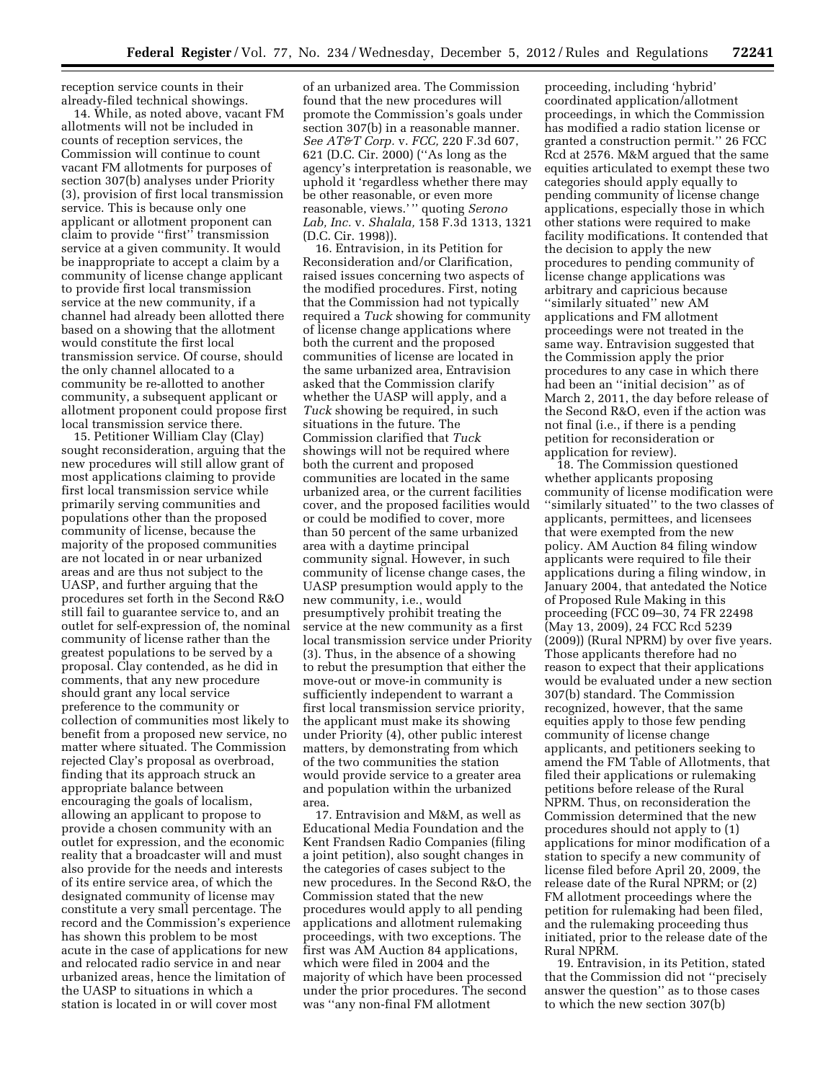reception service counts in their already-filed technical showings.

14. While, as noted above, vacant FM allotments will not be included in counts of reception services, the Commission will continue to count vacant FM allotments for purposes of section 307(b) analyses under Priority (3), provision of first local transmission service. This is because only one applicant or allotment proponent can claim to provide ''first'' transmission service at a given community. It would be inappropriate to accept a claim by a community of license change applicant to provide first local transmission service at the new community, if a channel had already been allotted there based on a showing that the allotment would constitute the first local transmission service. Of course, should the only channel allocated to a community be re-allotted to another community, a subsequent applicant or allotment proponent could propose first local transmission service there.

15. Petitioner William Clay (Clay) sought reconsideration, arguing that the new procedures will still allow grant of most applications claiming to provide first local transmission service while primarily serving communities and populations other than the proposed community of license, because the majority of the proposed communities are not located in or near urbanized areas and are thus not subject to the UASP, and further arguing that the procedures set forth in the Second R&O still fail to guarantee service to, and an outlet for self-expression of, the nominal community of license rather than the greatest populations to be served by a proposal. Clay contended, as he did in comments, that any new procedure should grant any local service preference to the community or collection of communities most likely to benefit from a proposed new service, no matter where situated. The Commission rejected Clay's proposal as overbroad, finding that its approach struck an appropriate balance between encouraging the goals of localism, allowing an applicant to propose to provide a chosen community with an outlet for expression, and the economic reality that a broadcaster will and must also provide for the needs and interests of its entire service area, of which the designated community of license may constitute a very small percentage. The record and the Commission's experience has shown this problem to be most acute in the case of applications for new and relocated radio service in and near urbanized areas, hence the limitation of the UASP to situations in which a station is located in or will cover most

of an urbanized area. The Commission found that the new procedures will promote the Commission's goals under section 307(b) in a reasonable manner. *See AT&T Corp.* v. *FCC,* 220 F.3d 607, 621 (D.C. Cir. 2000) (''As long as the agency's interpretation is reasonable, we uphold it 'regardless whether there may be other reasonable, or even more reasonable, views.' '' quoting *Serono Lab, Inc.* v. *Shalala,* 158 F.3d 1313, 1321 (D.C. Cir. 1998)).

16. Entravision, in its Petition for Reconsideration and/or Clarification, raised issues concerning two aspects of the modified procedures. First, noting that the Commission had not typically required a *Tuck* showing for community of license change applications where both the current and the proposed communities of license are located in the same urbanized area, Entravision asked that the Commission clarify whether the UASP will apply, and a *Tuck* showing be required, in such situations in the future. The Commission clarified that *Tuck*  showings will not be required where both the current and proposed communities are located in the same urbanized area, or the current facilities cover, and the proposed facilities would or could be modified to cover, more than 50 percent of the same urbanized area with a daytime principal community signal. However, in such community of license change cases, the UASP presumption would apply to the new community, i.e., would presumptively prohibit treating the service at the new community as a first local transmission service under Priority (3). Thus, in the absence of a showing to rebut the presumption that either the move-out or move-in community is sufficiently independent to warrant a first local transmission service priority, the applicant must make its showing under Priority (4), other public interest matters, by demonstrating from which of the two communities the station would provide service to a greater area and population within the urbanized area.

17. Entravision and M&M, as well as Educational Media Foundation and the Kent Frandsen Radio Companies (filing a joint petition), also sought changes in the categories of cases subject to the new procedures. In the Second R&O, the Commission stated that the new procedures would apply to all pending applications and allotment rulemaking proceedings, with two exceptions. The first was AM Auction 84 applications, which were filed in 2004 and the majority of which have been processed under the prior procedures. The second was ''any non-final FM allotment

proceeding, including 'hybrid' coordinated application/allotment proceedings, in which the Commission has modified a radio station license or granted a construction permit.'' 26 FCC Rcd at 2576. M&M argued that the same equities articulated to exempt these two categories should apply equally to pending community of license change applications, especially those in which other stations were required to make facility modifications. It contended that the decision to apply the new procedures to pending community of license change applications was arbitrary and capricious because ''similarly situated'' new AM applications and FM allotment proceedings were not treated in the same way. Entravision suggested that the Commission apply the prior procedures to any case in which there had been an ''initial decision'' as of March 2, 2011, the day before release of the Second R&O, even if the action was not final (i.e., if there is a pending petition for reconsideration or application for review).

18. The Commission questioned whether applicants proposing community of license modification were ''similarly situated'' to the two classes of applicants, permittees, and licensees that were exempted from the new policy. AM Auction 84 filing window applicants were required to file their applications during a filing window, in January 2004, that antedated the Notice of Proposed Rule Making in this proceeding (FCC 09–30, 74 FR 22498 (May 13, 2009), 24 FCC Rcd 5239 (2009)) (Rural NPRM) by over five years. Those applicants therefore had no reason to expect that their applications would be evaluated under a new section 307(b) standard. The Commission recognized, however, that the same equities apply to those few pending community of license change applicants, and petitioners seeking to amend the FM Table of Allotments, that filed their applications or rulemaking petitions before release of the Rural NPRM. Thus, on reconsideration the Commission determined that the new procedures should not apply to (1) applications for minor modification of a station to specify a new community of license filed before April 20, 2009, the release date of the Rural NPRM; or (2) FM allotment proceedings where the petition for rulemaking had been filed, and the rulemaking proceeding thus initiated, prior to the release date of the Rural NPRM.

19. Entravision, in its Petition, stated that the Commission did not ''precisely answer the question'' as to those cases to which the new section 307(b)